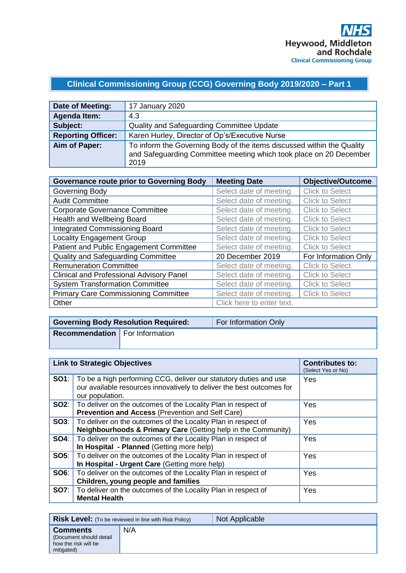## **Clinical Commissioning Group (CCG) Governing Body 2019/2020 – Part 1**

| Date of Meeting:          | 17 January 2020                                                                                                                                      |
|---------------------------|------------------------------------------------------------------------------------------------------------------------------------------------------|
| <b>Agenda Item:</b>       | 4.3                                                                                                                                                  |
| Subject:                  | Quality and Safeguarding Committee Update                                                                                                            |
| <b>Reporting Officer:</b> | Karen Hurley, Director of Op's/Executive Nurse                                                                                                       |
| Aim of Paper:             | To inform the Governing Body of the items discussed within the Quality<br>and Safeguarding Committee meeting which took place on 20 December<br>2019 |

| <b>Governance route prior to Governing Body</b> | <b>Meeting Date</b>       | <b>Objective/Outcome</b> |
|-------------------------------------------------|---------------------------|--------------------------|
| Governing Body                                  | Select date of meeting.   | <b>Click to Select</b>   |
| <b>Audit Committee</b>                          | Select date of meeting.   | <b>Click to Select</b>   |
| <b>Corporate Governance Committee</b>           | Select date of meeting.   | <b>Click to Select</b>   |
| Health and Wellbeing Board                      | Select date of meeting.   | <b>Click to Select</b>   |
| <b>Integrated Commissioning Board</b>           | Select date of meeting.   | <b>Click to Select</b>   |
| <b>Locality Engagement Group</b>                | Select date of meeting.   | <b>Click to Select</b>   |
| Patient and Public Engagement Committee         | Select date of meeting.   | <b>Click to Select</b>   |
| Quality and Safeguarding Committee              | 20 December 2019          | For Information Only     |
| <b>Remuneration Committee</b>                   | Select date of meeting.   | <b>Click to Select</b>   |
| <b>Clinical and Professional Advisory Panel</b> | Select date of meeting.   | <b>Click to Select</b>   |
| <b>System Transformation Committee</b>          | Select date of meeting.   | <b>Click to Select</b>   |
| <b>Primary Care Commissioning Committee</b>     | Select date of meeting.   | <b>Click to Select</b>   |
| Other                                           | Click here to enter text. |                          |

|                                       | <b>Governing Body Resolution Required:</b> | For Information Only |
|---------------------------------------|--------------------------------------------|----------------------|
| <b>Recommendation</b> For Information |                                            |                      |
|                                       |                                            |                      |

| <b>Link to Strategic Objectives</b> |                                                                                                                                                               | <b>Contributes to:</b><br>(Select Yes or No) |
|-------------------------------------|---------------------------------------------------------------------------------------------------------------------------------------------------------------|----------------------------------------------|
| SO1:                                | To be a high performing CCG, deliver our statutory duties and use<br>our available resources innovatively to deliver the best outcomes for<br>our population. | Yes                                          |
|                                     | <b>SO2:</b>   To deliver on the outcomes of the Locality Plan in respect of<br><b>Prevention and Access (Prevention and Self Care)</b>                        | <b>Yes</b>                                   |
|                                     | <b>SO3:</b>   To deliver on the outcomes of the Locality Plan in respect of<br><b>Neighbourhoods &amp; Primary Care (Getting help in the Community)</b>       | <b>Yes</b>                                   |
| <b>SO4:</b>                         | To deliver on the outcomes of the Locality Plan in respect of<br>In Hospital - Planned (Getting more help)                                                    | <b>Yes</b>                                   |
| SOS:                                | To deliver on the outcomes of the Locality Plan in respect of<br>In Hospital - Urgent Care (Getting more help)                                                | <b>Yes</b>                                   |
| SO6:                                | To deliver on the outcomes of the Locality Plan in respect of<br>Children, young people and families                                                          | <b>Yes</b>                                   |
| <b>SO7:</b>                         | To deliver on the outcomes of the Locality Plan in respect of<br><b>Mental Health</b>                                                                         | Yes                                          |

|                                                                                  | <b>Risk Level:</b> (To be reviewed in line with Risk Policy) | Not Applicable |
|----------------------------------------------------------------------------------|--------------------------------------------------------------|----------------|
| <b>Comments</b><br>(Document should detail<br>how the risk will be<br>mitigated) | N/A                                                          |                |